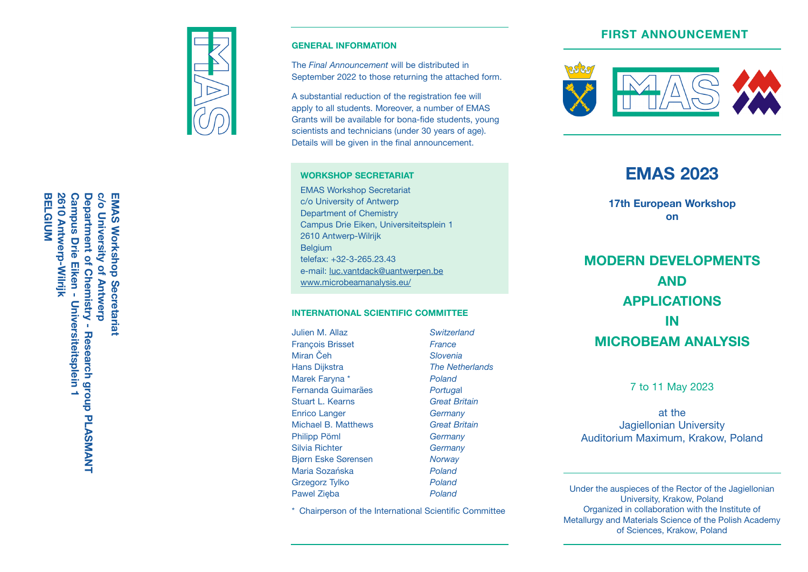# **FIRST ANNOUNCEMENT**



#### **GENERAL INFORMATION**

The *Final Announcement* will be distributed in September 2022 to those returning the attached form.

A substantial reduction of the registration fee will apply to all students. Moreover, a number of EMAS Grants will be available for bona-fide students, young scientists and technicians (under 30 years of age). Details will be given in the final announcement.

#### **WORKSHOP SECRETARIAT**

EMAS Workshop Secretariat c/o University of Antwerp Department of Chemistry Campus Drie Eiken, Universiteitsplein 1 2610 Antwerp-Wilrijk Belgium telefax: +32-3-265.23.43 e-mail: luc.vantdack@uantwerpen.be www.microbeamanalysis.eu/

#### **INTERNATIONAL SCIENTIFIC COMMITTEE**

Julien M. Allaz *Switzerland* François Brisset *France* **Miran** Čeh Hans Dijkstra *The Netherlands* Marek Faryna \* *Poland* Fernanda Guimarães *Portuga* **Stuart L. Kearns** Enrico Langer *Germany* Michael B. Matthews *Great Britain* Philipp Pöml *Germany* Silvia Richter *Germany* Bjørn Eske Sørensen *Norway* Maria Sozańska *Poland* Grzegorz Tylko *Poland* Pawel Zięba *Poland*

Portugal

\* Chairperson of the International Scientific Committee



# **EMAS 2023**

**17th European Workshop on**

**MODERN DEVELOPMENTS AND APPLICATIONS IN MICROBEAM ANALYSIS**

7 to 11 May 2023

at the Jagiellonian University Auditorium Maximum, Krakow, Poland

Under the auspieces of the Rector of the Jagiellonian University, Krakow, Poland Organized in collaboration with the Institute of Metallurgy and Materials Science of the Polish Academy of Sciences, Krakow, Poland

0/0 **BELGIUM** 2610 Antwerp-Wilrijk **2610 Antwerp-Wilrijk Campus Drie Eiken -Campus Drie Eiken - Universiteitsplein 1** Department of Chemistry **c/o University of Antwerp EMAS Workshop Secretariat BELGIUM Department of Chemistry - Research group EMAS Workshop Secretariat University of Antwerp** Universiteitsplein Research group PLASMANT **PLASMANT**